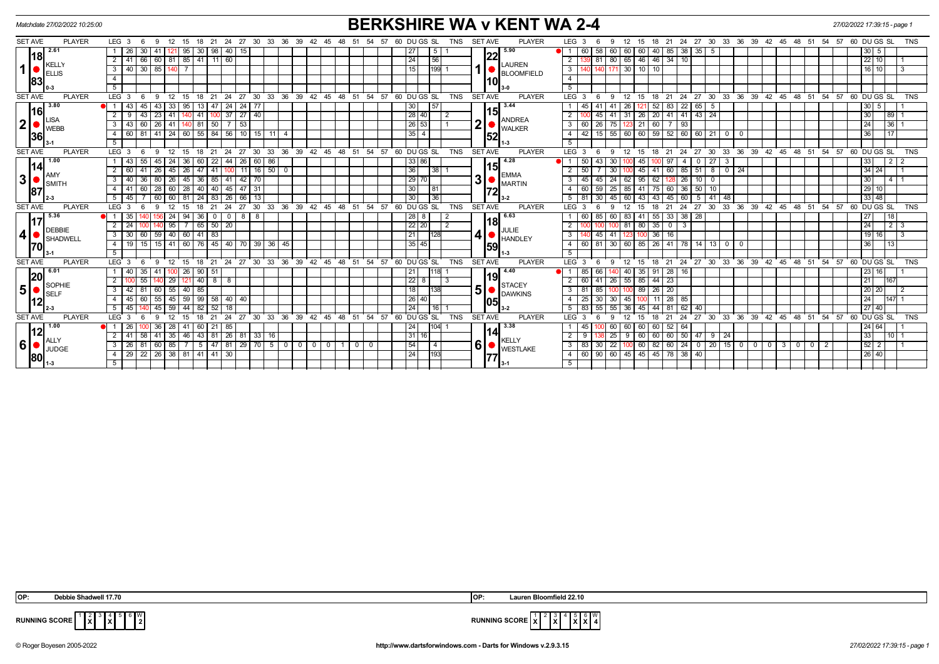| <b>PLAYER</b><br>LEG <sub>3</sub><br><b>PLAYER</b><br>15 18 21 24 27 30 33 36 39 42 45<br>60 DU GS SL<br>TNS<br><b>SET AVE</b><br>LEG <sub>3</sub><br>15 18 21 24 27 30 33 36 39 42 45 48 51 54 57 60 DUGS SL<br><b>TNS</b><br>- 9<br>12<br>54<br>57<br>12<br>- 6<br>-48<br>-6<br>2.61<br>40   15<br>5.90<br>30 <sup>1</sup><br>95<br>27<br>5 <sup>1</sup><br>60<br>58<br>60<br>60 40<br>85 38<br>$35 \mid 5$<br>30 5<br>26<br>  41<br>30   98<br>22<br>l18l<br>66 60 81 85 41 11 60<br> 24<br>80 65 46 46 34 10<br>56<br>$\overline{2}$<br> 22 10 <br>$\overline{2}$<br>81<br><b>LAUREN</b><br><b>KELLY</b><br>1  <br>40 30 85 140 7<br>199 1<br>$130$ 10 10<br>15<br>3 <sup>1</sup><br>$\mathbf{3}$<br>$16$   10  <br>$\mathcal{R}$<br><b>ELLIS</b><br><b>BLOOMFIELD</b><br>$\overline{4}$<br>$\overline{4}$<br>83<br>10<br>$\overline{5}$<br>5<br>$36 \quad 39 \quad 42$<br>່ 48 ່ 51<br><b>PLAYER</b><br>33 36<br>$39 \quad 42 \quad 45 \quad 48 \quad 51$<br><b>PLAYER</b><br>$LEG$ 3<br>24<br>$\cdot$ 27<br>30<br>33<br>.45<br>54<br>57<br>60 DUGS SL<br><b>TNS</b><br><b>SET AVE</b><br>LEG <sub>3</sub><br>24<br>$27 \quad 30$<br>54.57<br>60 DUGS SL<br><b>TNS</b><br>$\mathbf{q}$<br>21<br>12<br>21<br>12<br>18<br>-9<br>15<br>18<br>15<br>3.80<br>3.44<br>22<br>43<br>45<br>-43<br>33<br>95<br>24<br>24<br>30<br>45<br>26<br>83<br>65<br>30<br>- 5<br>5<br> 15 <br> 16 <br> 28 40 <br>$37$ $27$ $40$<br>$41 \ 41$<br>$143$ $24$<br>$\overline{2}$<br>43<br>$23 \mid 41$<br>$41 \mid 1$<br>$\overline{2}$<br>$41$ 31<br>$26$ 20<br>30<br> 89 <br>9<br>140<br>45<br>2<br><b>LISA</b><br>ANDREA<br>2 <sup>1</sup><br>∩<br>$\sqrt{26}$ 53<br>36<br>$26 \mid 41$<br>$7 \mid 53$<br>21<br>24<br>3 <sup>1</sup><br>43<br>60<br>$81 \mid 50$<br>60<br>26<br>60<br>$7 \mid 93$<br>140<br>3 I<br>75 123<br>WEBB<br><b>WALKER</b><br>$41$   24   60  <br>$55 \mid 84$<br>$56$   10   15   11  <br>35<br>60 59<br>$52 \ 60 \ 60 \ 21$<br>60 81<br>42<br>15 55 60<br>36<br>17<br>4 <sup>1</sup><br>$\overline{4}$<br>$^{\circ}$<br>l 0<br>52<br>36<br>5<br>5<br>$1 - 3$<br>$54$ $57$ 60 DUGS SL<br>SET AVE<br><b>PLAYER</b><br>$^{\circ}$ 27<br>30 33<br>$36 \quad 39 \quad 42 \quad 45 \quad 48 \quad 51$<br><b>TNS</b><br><b>PLAYER</b><br>LEG <sub>3</sub><br>12<br>24<br>$27 \cdot 30$<br>33<br>36 39 42 45 48 51 54 57 60 DUGS SL<br><b>TNS</b><br>$LEG_3$<br>-9<br>12<br>15<br>18<br>21<br>24<br>6<br>15<br>18<br>$^{\circ}$ 21<br>- 6<br>-9<br>1.00<br>55<br>44<br>$\sqrt{26}$<br>4.28<br>50<br>27<br>$\overline{2}$<br>43<br>24<br>36<br>22<br>$60$ 86<br>33 86<br>43<br>30 <sup>1</sup><br>45<br> 33 <br>45<br>60<br>97<br>$\mathbf{0}$<br>2<br>4<br>3<br> 14 <br> 15 <br>26<br>$16$ 50<br>36<br>50<br>60<br> 34 24 <br>$\overline{2}$<br>60<br>$\overline{41}$<br>26<br>45<br>$47$   $41$<br>$\overline{0}$<br>$38$ 1<br>30<br>45<br>85<br>51<br>8<br>$\overline{0}$<br>$\sqrt{24}$<br>11<br><b>EMMA</b><br>AMY<br>3 <sup>1</sup><br>31<br>45<br> 29 <br>30<br>$\overline{\phantom{a}3}$<br>40 <sup>1</sup><br>36<br>36   85<br>41<br>$42 \mid 70$<br>45<br>$24 \ 62$<br>95<br>128 26<br>80<br>26<br>45<br>62<br>10 <sup>1</sup><br>4   1<br>$\mathbf 0$<br>SMITH<br>MARTIN<br>30<br>$\sqrt{29}$ 10<br>$4 \mid 41$<br>  28   60   28  <br>$40$ 40<br>$145$   47   31<br>59 25 85 41 75<br>$60 \mid 36$<br>$50 \mid 10$<br>60<br>60<br>81<br>87<br> 72<br>30<br>33 48<br>$\overline{36}$<br>$5 \mid 45 \mid$<br>60<br>$60$   81<br>24 83 26 66 13<br>$5 \mid 81$<br>30 45 60<br>43 43 45 60<br>$5 \mid 41 \mid 48$<br>$3 - 2$<br>$36 \quad 39 \quad 42 \quad 45$<br>54.57<br>24<br>33 36 39 42 45 48 51 54 57<br>21<br>24<br>27<br>30<br>33<br>$48 \quad 51$<br>60 DU GS SL<br><b>TNS</b><br><b>SET AVE</b><br><b>PLAYER</b><br>12<br>27 30<br>60 DUGS SL<br><b>TNS</b><br><b>PLAYER</b><br>LEG <sub>3</sub><br>$\alpha$<br>12<br>15<br>18<br>LEG <sub>3</sub><br>15<br>18<br>21<br>$\epsilon$<br>-6<br>Q<br>5.36<br>6.63<br>$33 \mid 38$<br>35<br>94<br>$36$ 0<br>$8 \mid 8$<br> 28 8<br>60<br>85<br>60 83<br>$41$ 55<br> 28 <br>27<br>  18<br>24<br>$\mathbf{0}$<br>18<br>22 20<br>24<br>2<br>24<br>95<br>$65$ 50<br>20<br>80 35<br>$\sqrt{2}$<br>81<br>$\overline{0}$<br>-3<br>$2 \mid 3$<br><b>DEBBIE</b><br>JULIE<br>4 <sup>1</sup><br>30<br>59 40 60<br>$41 \mid 83$<br>21<br>16<br>$19$   16 <br>3 <sup>1</sup><br>60<br>36<br>128I<br>45<br>$\mathcal{R}$<br>123<br>HANDLEY<br>SHADWELL<br>19<br>15<br>$15 \mid 41 \mid$<br>$\boxed{60}$<br>$76$ 45<br>$40$ 70 39 36<br>35 45<br>$30$ 60<br>85<br>41<br>78<br>$14$ 13<br>36<br>4<br>45<br>60<br>81<br>$\sqrt{26}$<br>$\mathbf 0$<br>13<br>$\mathbf{0}$<br>170<br>59<br>5 <sup>5</sup><br>5 <sup>5</sup><br>24<br>$30 \quad 33$<br>36<br>39<br>42<br>$48 \t 51$<br>54<br>57<br>60 DU GS SL<br><b>SET AVE</b><br>24<br>27 30<br>33 <sup>2</sup><br>36<br>39 42 45 48 51<br>54<br>57<br>60 DU GS SL<br><b>PLAYER</b><br>LEG <sub>3</sub><br>21<br>$^{\circ}$ 27<br>45<br><b>TNS</b><br><b>PLAYER</b><br>LEG <sup>1</sup><br>21<br><b>TNS</b><br><b>SET AVE</b><br><b>Q</b><br>12<br>15<br>18<br>-9<br>12<br>15<br>18<br>6.01<br>4.40<br>28 16<br>40 I<br>35<br>$100$ 26<br> 21<br>118 1<br>85<br>35 91<br>$\sqrt{23}$   16 <br>90   51<br>66<br>40<br>- 1 - I<br>-41<br>19<br> 20<br> 22 <br>85 44 23<br>$2^{\circ}$<br>55<br>60<br>$26 \mid 55 \mid$<br>21<br> 167<br>29<br>$40 \mid 8$<br>121<br>8<br>l 3<br>-41<br><b>STACEY</b><br>SOPHIE<br>5 <sup>1</sup><br>51<br>18<br>20<br>$\overline{\phantom{a}3}$<br>40<br>89 26<br> 20 20 <br>42 81<br>60<br>55<br>81<br>$\overline{2}$<br>85<br>38<br>85<br>00 100<br><b>SELF</b><br><b>DAWKINS</b><br> 26 40<br>28 85<br>$\overline{4}$<br>59<br>99   58<br> 40 40<br>25<br>24<br>$ 147 $ 1<br>45 I<br>55<br>45<br>30 <sup>1</sup><br>30 45<br>60<br>105<br> 12 <br>24<br>18<br>81<br>62<br>$5 \mid 45$<br>45<br>44<br>$\overline{52}$<br>16 I 1<br>83<br>40<br> 27 40 <br>59<br>82<br>36<br>45<br>44<br>55<br>48<br>54<br><b>TNS</b><br><b>SET AVE</b><br><b>PLAYER</b><br>$33 \quad 36$<br>60 DUGS SL<br><b>PLAYER</b><br>LEG <sub>3</sub><br>24<br>30<br>່ 33 ່ 36 ່<br>$39 \quad 42$<br>45<br>57<br>60 DUGS SL<br>LEG <sub>3</sub><br>12<br>24<br>27<br>$39 \t 42 \t 45$<br>$^{\circ}$ 48<br>51<br>54 57<br><b>TNS</b><br><b>q</b><br>12<br>18<br>21<br>27<br>- 51<br>15<br>21<br>$30^{\circ}$<br>15<br>6<br>18<br>-9<br>1.00<br> 24 <br>3.38<br> 24 64 <br> 1126 <br> 28 <br>85<br>104 1<br>45<br>60<br>$52 \mid 64$<br>- 36<br>41<br>60   21  <br>60 60<br>12<br>14<br>58 41 35 46 43 81 26 81 33 16<br>$\overline{31}$<br>$60 \ 60 \ 60 \ 50 \ 47 \ 9 \ 24$<br>33<br>$2 \mid 41 \mid$<br>$\overline{2}$<br>9<br>$25 \mid 9 \mid$<br>$10$   1<br>16 I<br><b>KELLY</b><br>ALLY<br>6 <sup>1</sup><br>6 <sup>1</sup><br>54<br> 52 2 <br>60 85 7<br>5 47 81 29 70 5 0 0 00<br>3 83 30 22 100<br>60   82   60   24   0   20   15   0   0   0<br>3   26   81<br>4 <sup>1</sup><br>$3$ 0<br>$\circ$ 1<br>1   0<br>$\overline{2}$<br>$\Omega$<br><b>JUDGE</b><br><b>WESTLAKE</b> | Matchdate 27/02/2022 10:25:00 |                                               | <b>BERKSHIRE WA v KENT WA 2-4</b>                                                | 27/02/2022 17:39:15 - page 1 |
|--------------------------------------------------------------------------------------------------------------------------------------------------------------------------------------------------------------------------------------------------------------------------------------------------------------------------------------------------------------------------------------------------------------------------------------------------------------------------------------------------------------------------------------------------------------------------------------------------------------------------------------------------------------------------------------------------------------------------------------------------------------------------------------------------------------------------------------------------------------------------------------------------------------------------------------------------------------------------------------------------------------------------------------------------------------------------------------------------------------------------------------------------------------------------------------------------------------------------------------------------------------------------------------------------------------------------------------------------------------------------------------------------------------------------------------------------------------------------------------------------------------------------------------------------------------------------------------------------------------------------------------------------------------------------------------------------------------------------------------------------------------------------------------------------------------------------------------------------------------------------------------------------------------------------------------------------------------------------------------------------------------------------------------------------------------------------------------------------------------------------------------------------------------------------------------------------------------------------------------------------------------------------------------------------------------------------------------------------------------------------------------------------------------------------------------------------------------------------------------------------------------------------------------------------------------------------------------------------------------------------------------------------------------------------------------------------------------------------------------------------------------------------------------------------------------------------------------------------------------------------------------------------------------------------------------------------------------------------------------------------------------------------------------------------------------------------------------------------------------------------------------------------------------------------------------------------------------------------------------------------------------------------------------------------------------------------------------------------------------------------------------------------------------------------------------------------------------------------------------------------------------------------------------------------------------------------------------------------------------------------------------------------------------------------------------------------------------------------------------------------------------------------------------------------------------------------------------------------------------------------------------------------------------------------------------------------------------------------------------------------------------------------------------------------------------------------------------------------------------------------------------------------------------------------------------------------------------------------------------------------------------------------------------------------------------------------------------------------------------------------------------------------------------------------------------------------------------------------------------------------------------------------------------------------------------------------------------------------------------------------------------------------------------------------------------------------------------------------------------------------------------------------------------------------------------------------------------------------------------------------------------------------------------------------------------------------------------------------------------------------------------------------------------------------------------------------------------------------------------------------------------------------------------------------------------------------------------------------------------------------------------------------------------------------------------------------------------------------------------------------------------------------------------------------------------------------------------------------------------------------------------------------------------------------------------------------------------------------------------------------------------------------------------------------------------------------------------------------------------------------------------------------------------------------------------------------------------------------------------------------------------------------------------------------------------------------------------------------------------------------------------------------------------------------------------------------------------------------------------------------------------------------------------------------------------------------------------------------------------------------------------------------------------------------------------------------------------------------------------------------------------------------------------------------------------------------------------------------------------------------------------------------------------------------------------------------------------------------------------------------------------------------------------------------------------------------------------------------------------------------------------------------------------------------------------------------------------------------------------------------------------------------------------------------------------------------------------------------------------------|-------------------------------|-----------------------------------------------|----------------------------------------------------------------------------------|------------------------------|
|                                                                                                                                                                                                                                                                                                                                                                                                                                                                                                                                                                                                                                                                                                                                                                                                                                                                                                                                                                                                                                                                                                                                                                                                                                                                                                                                                                                                                                                                                                                                                                                                                                                                                                                                                                                                                                                                                                                                                                                                                                                                                                                                                                                                                                                                                                                                                                                                                                                                                                                                                                                                                                                                                                                                                                                                                                                                                                                                                                                                                                                                                                                                                                                                                                                                                                                                                                                                                                                                                                                                                                                                                                                                                                                                                                                                                                                                                                                                                                                                                                                                                                                                                                                                                                                                                                                                                                                                                                                                                                                                                                                                                                                                                                                                                                                                                                                                                                                                                                                                                                                                                                                                                                                                                                                                                                                                                                                                                                                                                                                                                                                                                                                                                                                                                                                                                                                                                                                                                                                                                                                                                                                                                                                                                                                                                                                                                                                                                                                                                                                                                                                                                                                                                                                                                                                                                                                                                                                                                                                            | <b>SET AVE</b>                |                                               |                                                                                  |                              |
|                                                                                                                                                                                                                                                                                                                                                                                                                                                                                                                                                                                                                                                                                                                                                                                                                                                                                                                                                                                                                                                                                                                                                                                                                                                                                                                                                                                                                                                                                                                                                                                                                                                                                                                                                                                                                                                                                                                                                                                                                                                                                                                                                                                                                                                                                                                                                                                                                                                                                                                                                                                                                                                                                                                                                                                                                                                                                                                                                                                                                                                                                                                                                                                                                                                                                                                                                                                                                                                                                                                                                                                                                                                                                                                                                                                                                                                                                                                                                                                                                                                                                                                                                                                                                                                                                                                                                                                                                                                                                                                                                                                                                                                                                                                                                                                                                                                                                                                                                                                                                                                                                                                                                                                                                                                                                                                                                                                                                                                                                                                                                                                                                                                                                                                                                                                                                                                                                                                                                                                                                                                                                                                                                                                                                                                                                                                                                                                                                                                                                                                                                                                                                                                                                                                                                                                                                                                                                                                                                                                            |                               |                                               |                                                                                  |                              |
|                                                                                                                                                                                                                                                                                                                                                                                                                                                                                                                                                                                                                                                                                                                                                                                                                                                                                                                                                                                                                                                                                                                                                                                                                                                                                                                                                                                                                                                                                                                                                                                                                                                                                                                                                                                                                                                                                                                                                                                                                                                                                                                                                                                                                                                                                                                                                                                                                                                                                                                                                                                                                                                                                                                                                                                                                                                                                                                                                                                                                                                                                                                                                                                                                                                                                                                                                                                                                                                                                                                                                                                                                                                                                                                                                                                                                                                                                                                                                                                                                                                                                                                                                                                                                                                                                                                                                                                                                                                                                                                                                                                                                                                                                                                                                                                                                                                                                                                                                                                                                                                                                                                                                                                                                                                                                                                                                                                                                                                                                                                                                                                                                                                                                                                                                                                                                                                                                                                                                                                                                                                                                                                                                                                                                                                                                                                                                                                                                                                                                                                                                                                                                                                                                                                                                                                                                                                                                                                                                                                            |                               |                                               |                                                                                  |                              |
|                                                                                                                                                                                                                                                                                                                                                                                                                                                                                                                                                                                                                                                                                                                                                                                                                                                                                                                                                                                                                                                                                                                                                                                                                                                                                                                                                                                                                                                                                                                                                                                                                                                                                                                                                                                                                                                                                                                                                                                                                                                                                                                                                                                                                                                                                                                                                                                                                                                                                                                                                                                                                                                                                                                                                                                                                                                                                                                                                                                                                                                                                                                                                                                                                                                                                                                                                                                                                                                                                                                                                                                                                                                                                                                                                                                                                                                                                                                                                                                                                                                                                                                                                                                                                                                                                                                                                                                                                                                                                                                                                                                                                                                                                                                                                                                                                                                                                                                                                                                                                                                                                                                                                                                                                                                                                                                                                                                                                                                                                                                                                                                                                                                                                                                                                                                                                                                                                                                                                                                                                                                                                                                                                                                                                                                                                                                                                                                                                                                                                                                                                                                                                                                                                                                                                                                                                                                                                                                                                                                            |                               |                                               |                                                                                  |                              |
|                                                                                                                                                                                                                                                                                                                                                                                                                                                                                                                                                                                                                                                                                                                                                                                                                                                                                                                                                                                                                                                                                                                                                                                                                                                                                                                                                                                                                                                                                                                                                                                                                                                                                                                                                                                                                                                                                                                                                                                                                                                                                                                                                                                                                                                                                                                                                                                                                                                                                                                                                                                                                                                                                                                                                                                                                                                                                                                                                                                                                                                                                                                                                                                                                                                                                                                                                                                                                                                                                                                                                                                                                                                                                                                                                                                                                                                                                                                                                                                                                                                                                                                                                                                                                                                                                                                                                                                                                                                                                                                                                                                                                                                                                                                                                                                                                                                                                                                                                                                                                                                                                                                                                                                                                                                                                                                                                                                                                                                                                                                                                                                                                                                                                                                                                                                                                                                                                                                                                                                                                                                                                                                                                                                                                                                                                                                                                                                                                                                                                                                                                                                                                                                                                                                                                                                                                                                                                                                                                                                            |                               |                                               |                                                                                  |                              |
|                                                                                                                                                                                                                                                                                                                                                                                                                                                                                                                                                                                                                                                                                                                                                                                                                                                                                                                                                                                                                                                                                                                                                                                                                                                                                                                                                                                                                                                                                                                                                                                                                                                                                                                                                                                                                                                                                                                                                                                                                                                                                                                                                                                                                                                                                                                                                                                                                                                                                                                                                                                                                                                                                                                                                                                                                                                                                                                                                                                                                                                                                                                                                                                                                                                                                                                                                                                                                                                                                                                                                                                                                                                                                                                                                                                                                                                                                                                                                                                                                                                                                                                                                                                                                                                                                                                                                                                                                                                                                                                                                                                                                                                                                                                                                                                                                                                                                                                                                                                                                                                                                                                                                                                                                                                                                                                                                                                                                                                                                                                                                                                                                                                                                                                                                                                                                                                                                                                                                                                                                                                                                                                                                                                                                                                                                                                                                                                                                                                                                                                                                                                                                                                                                                                                                                                                                                                                                                                                                                                            |                               |                                               |                                                                                  |                              |
|                                                                                                                                                                                                                                                                                                                                                                                                                                                                                                                                                                                                                                                                                                                                                                                                                                                                                                                                                                                                                                                                                                                                                                                                                                                                                                                                                                                                                                                                                                                                                                                                                                                                                                                                                                                                                                                                                                                                                                                                                                                                                                                                                                                                                                                                                                                                                                                                                                                                                                                                                                                                                                                                                                                                                                                                                                                                                                                                                                                                                                                                                                                                                                                                                                                                                                                                                                                                                                                                                                                                                                                                                                                                                                                                                                                                                                                                                                                                                                                                                                                                                                                                                                                                                                                                                                                                                                                                                                                                                                                                                                                                                                                                                                                                                                                                                                                                                                                                                                                                                                                                                                                                                                                                                                                                                                                                                                                                                                                                                                                                                                                                                                                                                                                                                                                                                                                                                                                                                                                                                                                                                                                                                                                                                                                                                                                                                                                                                                                                                                                                                                                                                                                                                                                                                                                                                                                                                                                                                                                            | <b>SET AVE</b>                |                                               |                                                                                  |                              |
|                                                                                                                                                                                                                                                                                                                                                                                                                                                                                                                                                                                                                                                                                                                                                                                                                                                                                                                                                                                                                                                                                                                                                                                                                                                                                                                                                                                                                                                                                                                                                                                                                                                                                                                                                                                                                                                                                                                                                                                                                                                                                                                                                                                                                                                                                                                                                                                                                                                                                                                                                                                                                                                                                                                                                                                                                                                                                                                                                                                                                                                                                                                                                                                                                                                                                                                                                                                                                                                                                                                                                                                                                                                                                                                                                                                                                                                                                                                                                                                                                                                                                                                                                                                                                                                                                                                                                                                                                                                                                                                                                                                                                                                                                                                                                                                                                                                                                                                                                                                                                                                                                                                                                                                                                                                                                                                                                                                                                                                                                                                                                                                                                                                                                                                                                                                                                                                                                                                                                                                                                                                                                                                                                                                                                                                                                                                                                                                                                                                                                                                                                                                                                                                                                                                                                                                                                                                                                                                                                                                            |                               |                                               |                                                                                  |                              |
|                                                                                                                                                                                                                                                                                                                                                                                                                                                                                                                                                                                                                                                                                                                                                                                                                                                                                                                                                                                                                                                                                                                                                                                                                                                                                                                                                                                                                                                                                                                                                                                                                                                                                                                                                                                                                                                                                                                                                                                                                                                                                                                                                                                                                                                                                                                                                                                                                                                                                                                                                                                                                                                                                                                                                                                                                                                                                                                                                                                                                                                                                                                                                                                                                                                                                                                                                                                                                                                                                                                                                                                                                                                                                                                                                                                                                                                                                                                                                                                                                                                                                                                                                                                                                                                                                                                                                                                                                                                                                                                                                                                                                                                                                                                                                                                                                                                                                                                                                                                                                                                                                                                                                                                                                                                                                                                                                                                                                                                                                                                                                                                                                                                                                                                                                                                                                                                                                                                                                                                                                                                                                                                                                                                                                                                                                                                                                                                                                                                                                                                                                                                                                                                                                                                                                                                                                                                                                                                                                                                            |                               |                                               |                                                                                  |                              |
|                                                                                                                                                                                                                                                                                                                                                                                                                                                                                                                                                                                                                                                                                                                                                                                                                                                                                                                                                                                                                                                                                                                                                                                                                                                                                                                                                                                                                                                                                                                                                                                                                                                                                                                                                                                                                                                                                                                                                                                                                                                                                                                                                                                                                                                                                                                                                                                                                                                                                                                                                                                                                                                                                                                                                                                                                                                                                                                                                                                                                                                                                                                                                                                                                                                                                                                                                                                                                                                                                                                                                                                                                                                                                                                                                                                                                                                                                                                                                                                                                                                                                                                                                                                                                                                                                                                                                                                                                                                                                                                                                                                                                                                                                                                                                                                                                                                                                                                                                                                                                                                                                                                                                                                                                                                                                                                                                                                                                                                                                                                                                                                                                                                                                                                                                                                                                                                                                                                                                                                                                                                                                                                                                                                                                                                                                                                                                                                                                                                                                                                                                                                                                                                                                                                                                                                                                                                                                                                                                                                            |                               |                                               |                                                                                  |                              |
|                                                                                                                                                                                                                                                                                                                                                                                                                                                                                                                                                                                                                                                                                                                                                                                                                                                                                                                                                                                                                                                                                                                                                                                                                                                                                                                                                                                                                                                                                                                                                                                                                                                                                                                                                                                                                                                                                                                                                                                                                                                                                                                                                                                                                                                                                                                                                                                                                                                                                                                                                                                                                                                                                                                                                                                                                                                                                                                                                                                                                                                                                                                                                                                                                                                                                                                                                                                                                                                                                                                                                                                                                                                                                                                                                                                                                                                                                                                                                                                                                                                                                                                                                                                                                                                                                                                                                                                                                                                                                                                                                                                                                                                                                                                                                                                                                                                                                                                                                                                                                                                                                                                                                                                                                                                                                                                                                                                                                                                                                                                                                                                                                                                                                                                                                                                                                                                                                                                                                                                                                                                                                                                                                                                                                                                                                                                                                                                                                                                                                                                                                                                                                                                                                                                                                                                                                                                                                                                                                                                            |                               |                                               |                                                                                  |                              |
|                                                                                                                                                                                                                                                                                                                                                                                                                                                                                                                                                                                                                                                                                                                                                                                                                                                                                                                                                                                                                                                                                                                                                                                                                                                                                                                                                                                                                                                                                                                                                                                                                                                                                                                                                                                                                                                                                                                                                                                                                                                                                                                                                                                                                                                                                                                                                                                                                                                                                                                                                                                                                                                                                                                                                                                                                                                                                                                                                                                                                                                                                                                                                                                                                                                                                                                                                                                                                                                                                                                                                                                                                                                                                                                                                                                                                                                                                                                                                                                                                                                                                                                                                                                                                                                                                                                                                                                                                                                                                                                                                                                                                                                                                                                                                                                                                                                                                                                                                                                                                                                                                                                                                                                                                                                                                                                                                                                                                                                                                                                                                                                                                                                                                                                                                                                                                                                                                                                                                                                                                                                                                                                                                                                                                                                                                                                                                                                                                                                                                                                                                                                                                                                                                                                                                                                                                                                                                                                                                                                            |                               |                                               |                                                                                  |                              |
|                                                                                                                                                                                                                                                                                                                                                                                                                                                                                                                                                                                                                                                                                                                                                                                                                                                                                                                                                                                                                                                                                                                                                                                                                                                                                                                                                                                                                                                                                                                                                                                                                                                                                                                                                                                                                                                                                                                                                                                                                                                                                                                                                                                                                                                                                                                                                                                                                                                                                                                                                                                                                                                                                                                                                                                                                                                                                                                                                                                                                                                                                                                                                                                                                                                                                                                                                                                                                                                                                                                                                                                                                                                                                                                                                                                                                                                                                                                                                                                                                                                                                                                                                                                                                                                                                                                                                                                                                                                                                                                                                                                                                                                                                                                                                                                                                                                                                                                                                                                                                                                                                                                                                                                                                                                                                                                                                                                                                                                                                                                                                                                                                                                                                                                                                                                                                                                                                                                                                                                                                                                                                                                                                                                                                                                                                                                                                                                                                                                                                                                                                                                                                                                                                                                                                                                                                                                                                                                                                                                            | <b>SET AVE</b>                |                                               |                                                                                  |                              |
|                                                                                                                                                                                                                                                                                                                                                                                                                                                                                                                                                                                                                                                                                                                                                                                                                                                                                                                                                                                                                                                                                                                                                                                                                                                                                                                                                                                                                                                                                                                                                                                                                                                                                                                                                                                                                                                                                                                                                                                                                                                                                                                                                                                                                                                                                                                                                                                                                                                                                                                                                                                                                                                                                                                                                                                                                                                                                                                                                                                                                                                                                                                                                                                                                                                                                                                                                                                                                                                                                                                                                                                                                                                                                                                                                                                                                                                                                                                                                                                                                                                                                                                                                                                                                                                                                                                                                                                                                                                                                                                                                                                                                                                                                                                                                                                                                                                                                                                                                                                                                                                                                                                                                                                                                                                                                                                                                                                                                                                                                                                                                                                                                                                                                                                                                                                                                                                                                                                                                                                                                                                                                                                                                                                                                                                                                                                                                                                                                                                                                                                                                                                                                                                                                                                                                                                                                                                                                                                                                                                            |                               |                                               |                                                                                  |                              |
|                                                                                                                                                                                                                                                                                                                                                                                                                                                                                                                                                                                                                                                                                                                                                                                                                                                                                                                                                                                                                                                                                                                                                                                                                                                                                                                                                                                                                                                                                                                                                                                                                                                                                                                                                                                                                                                                                                                                                                                                                                                                                                                                                                                                                                                                                                                                                                                                                                                                                                                                                                                                                                                                                                                                                                                                                                                                                                                                                                                                                                                                                                                                                                                                                                                                                                                                                                                                                                                                                                                                                                                                                                                                                                                                                                                                                                                                                                                                                                                                                                                                                                                                                                                                                                                                                                                                                                                                                                                                                                                                                                                                                                                                                                                                                                                                                                                                                                                                                                                                                                                                                                                                                                                                                                                                                                                                                                                                                                                                                                                                                                                                                                                                                                                                                                                                                                                                                                                                                                                                                                                                                                                                                                                                                                                                                                                                                                                                                                                                                                                                                                                                                                                                                                                                                                                                                                                                                                                                                                                            |                               |                                               |                                                                                  |                              |
|                                                                                                                                                                                                                                                                                                                                                                                                                                                                                                                                                                                                                                                                                                                                                                                                                                                                                                                                                                                                                                                                                                                                                                                                                                                                                                                                                                                                                                                                                                                                                                                                                                                                                                                                                                                                                                                                                                                                                                                                                                                                                                                                                                                                                                                                                                                                                                                                                                                                                                                                                                                                                                                                                                                                                                                                                                                                                                                                                                                                                                                                                                                                                                                                                                                                                                                                                                                                                                                                                                                                                                                                                                                                                                                                                                                                                                                                                                                                                                                                                                                                                                                                                                                                                                                                                                                                                                                                                                                                                                                                                                                                                                                                                                                                                                                                                                                                                                                                                                                                                                                                                                                                                                                                                                                                                                                                                                                                                                                                                                                                                                                                                                                                                                                                                                                                                                                                                                                                                                                                                                                                                                                                                                                                                                                                                                                                                                                                                                                                                                                                                                                                                                                                                                                                                                                                                                                                                                                                                                                            |                               |                                               |                                                                                  |                              |
|                                                                                                                                                                                                                                                                                                                                                                                                                                                                                                                                                                                                                                                                                                                                                                                                                                                                                                                                                                                                                                                                                                                                                                                                                                                                                                                                                                                                                                                                                                                                                                                                                                                                                                                                                                                                                                                                                                                                                                                                                                                                                                                                                                                                                                                                                                                                                                                                                                                                                                                                                                                                                                                                                                                                                                                                                                                                                                                                                                                                                                                                                                                                                                                                                                                                                                                                                                                                                                                                                                                                                                                                                                                                                                                                                                                                                                                                                                                                                                                                                                                                                                                                                                                                                                                                                                                                                                                                                                                                                                                                                                                                                                                                                                                                                                                                                                                                                                                                                                                                                                                                                                                                                                                                                                                                                                                                                                                                                                                                                                                                                                                                                                                                                                                                                                                                                                                                                                                                                                                                                                                                                                                                                                                                                                                                                                                                                                                                                                                                                                                                                                                                                                                                                                                                                                                                                                                                                                                                                                                            |                               |                                               |                                                                                  |                              |
|                                                                                                                                                                                                                                                                                                                                                                                                                                                                                                                                                                                                                                                                                                                                                                                                                                                                                                                                                                                                                                                                                                                                                                                                                                                                                                                                                                                                                                                                                                                                                                                                                                                                                                                                                                                                                                                                                                                                                                                                                                                                                                                                                                                                                                                                                                                                                                                                                                                                                                                                                                                                                                                                                                                                                                                                                                                                                                                                                                                                                                                                                                                                                                                                                                                                                                                                                                                                                                                                                                                                                                                                                                                                                                                                                                                                                                                                                                                                                                                                                                                                                                                                                                                                                                                                                                                                                                                                                                                                                                                                                                                                                                                                                                                                                                                                                                                                                                                                                                                                                                                                                                                                                                                                                                                                                                                                                                                                                                                                                                                                                                                                                                                                                                                                                                                                                                                                                                                                                                                                                                                                                                                                                                                                                                                                                                                                                                                                                                                                                                                                                                                                                                                                                                                                                                                                                                                                                                                                                                                            |                               |                                               |                                                                                  |                              |
|                                                                                                                                                                                                                                                                                                                                                                                                                                                                                                                                                                                                                                                                                                                                                                                                                                                                                                                                                                                                                                                                                                                                                                                                                                                                                                                                                                                                                                                                                                                                                                                                                                                                                                                                                                                                                                                                                                                                                                                                                                                                                                                                                                                                                                                                                                                                                                                                                                                                                                                                                                                                                                                                                                                                                                                                                                                                                                                                                                                                                                                                                                                                                                                                                                                                                                                                                                                                                                                                                                                                                                                                                                                                                                                                                                                                                                                                                                                                                                                                                                                                                                                                                                                                                                                                                                                                                                                                                                                                                                                                                                                                                                                                                                                                                                                                                                                                                                                                                                                                                                                                                                                                                                                                                                                                                                                                                                                                                                                                                                                                                                                                                                                                                                                                                                                                                                                                                                                                                                                                                                                                                                                                                                                                                                                                                                                                                                                                                                                                                                                                                                                                                                                                                                                                                                                                                                                                                                                                                                                            | <b>SET AVE</b>                |                                               |                                                                                  |                              |
|                                                                                                                                                                                                                                                                                                                                                                                                                                                                                                                                                                                                                                                                                                                                                                                                                                                                                                                                                                                                                                                                                                                                                                                                                                                                                                                                                                                                                                                                                                                                                                                                                                                                                                                                                                                                                                                                                                                                                                                                                                                                                                                                                                                                                                                                                                                                                                                                                                                                                                                                                                                                                                                                                                                                                                                                                                                                                                                                                                                                                                                                                                                                                                                                                                                                                                                                                                                                                                                                                                                                                                                                                                                                                                                                                                                                                                                                                                                                                                                                                                                                                                                                                                                                                                                                                                                                                                                                                                                                                                                                                                                                                                                                                                                                                                                                                                                                                                                                                                                                                                                                                                                                                                                                                                                                                                                                                                                                                                                                                                                                                                                                                                                                                                                                                                                                                                                                                                                                                                                                                                                                                                                                                                                                                                                                                                                                                                                                                                                                                                                                                                                                                                                                                                                                                                                                                                                                                                                                                                                            |                               |                                               |                                                                                  |                              |
|                                                                                                                                                                                                                                                                                                                                                                                                                                                                                                                                                                                                                                                                                                                                                                                                                                                                                                                                                                                                                                                                                                                                                                                                                                                                                                                                                                                                                                                                                                                                                                                                                                                                                                                                                                                                                                                                                                                                                                                                                                                                                                                                                                                                                                                                                                                                                                                                                                                                                                                                                                                                                                                                                                                                                                                                                                                                                                                                                                                                                                                                                                                                                                                                                                                                                                                                                                                                                                                                                                                                                                                                                                                                                                                                                                                                                                                                                                                                                                                                                                                                                                                                                                                                                                                                                                                                                                                                                                                                                                                                                                                                                                                                                                                                                                                                                                                                                                                                                                                                                                                                                                                                                                                                                                                                                                                                                                                                                                                                                                                                                                                                                                                                                                                                                                                                                                                                                                                                                                                                                                                                                                                                                                                                                                                                                                                                                                                                                                                                                                                                                                                                                                                                                                                                                                                                                                                                                                                                                                                            |                               |                                               |                                                                                  |                              |
|                                                                                                                                                                                                                                                                                                                                                                                                                                                                                                                                                                                                                                                                                                                                                                                                                                                                                                                                                                                                                                                                                                                                                                                                                                                                                                                                                                                                                                                                                                                                                                                                                                                                                                                                                                                                                                                                                                                                                                                                                                                                                                                                                                                                                                                                                                                                                                                                                                                                                                                                                                                                                                                                                                                                                                                                                                                                                                                                                                                                                                                                                                                                                                                                                                                                                                                                                                                                                                                                                                                                                                                                                                                                                                                                                                                                                                                                                                                                                                                                                                                                                                                                                                                                                                                                                                                                                                                                                                                                                                                                                                                                                                                                                                                                                                                                                                                                                                                                                                                                                                                                                                                                                                                                                                                                                                                                                                                                                                                                                                                                                                                                                                                                                                                                                                                                                                                                                                                                                                                                                                                                                                                                                                                                                                                                                                                                                                                                                                                                                                                                                                                                                                                                                                                                                                                                                                                                                                                                                                                            |                               |                                               |                                                                                  |                              |
|                                                                                                                                                                                                                                                                                                                                                                                                                                                                                                                                                                                                                                                                                                                                                                                                                                                                                                                                                                                                                                                                                                                                                                                                                                                                                                                                                                                                                                                                                                                                                                                                                                                                                                                                                                                                                                                                                                                                                                                                                                                                                                                                                                                                                                                                                                                                                                                                                                                                                                                                                                                                                                                                                                                                                                                                                                                                                                                                                                                                                                                                                                                                                                                                                                                                                                                                                                                                                                                                                                                                                                                                                                                                                                                                                                                                                                                                                                                                                                                                                                                                                                                                                                                                                                                                                                                                                                                                                                                                                                                                                                                                                                                                                                                                                                                                                                                                                                                                                                                                                                                                                                                                                                                                                                                                                                                                                                                                                                                                                                                                                                                                                                                                                                                                                                                                                                                                                                                                                                                                                                                                                                                                                                                                                                                                                                                                                                                                                                                                                                                                                                                                                                                                                                                                                                                                                                                                                                                                                                                            |                               |                                               |                                                                                  |                              |
|                                                                                                                                                                                                                                                                                                                                                                                                                                                                                                                                                                                                                                                                                                                                                                                                                                                                                                                                                                                                                                                                                                                                                                                                                                                                                                                                                                                                                                                                                                                                                                                                                                                                                                                                                                                                                                                                                                                                                                                                                                                                                                                                                                                                                                                                                                                                                                                                                                                                                                                                                                                                                                                                                                                                                                                                                                                                                                                                                                                                                                                                                                                                                                                                                                                                                                                                                                                                                                                                                                                                                                                                                                                                                                                                                                                                                                                                                                                                                                                                                                                                                                                                                                                                                                                                                                                                                                                                                                                                                                                                                                                                                                                                                                                                                                                                                                                                                                                                                                                                                                                                                                                                                                                                                                                                                                                                                                                                                                                                                                                                                                                                                                                                                                                                                                                                                                                                                                                                                                                                                                                                                                                                                                                                                                                                                                                                                                                                                                                                                                                                                                                                                                                                                                                                                                                                                                                                                                                                                                                            |                               |                                               |                                                                                  |                              |
|                                                                                                                                                                                                                                                                                                                                                                                                                                                                                                                                                                                                                                                                                                                                                                                                                                                                                                                                                                                                                                                                                                                                                                                                                                                                                                                                                                                                                                                                                                                                                                                                                                                                                                                                                                                                                                                                                                                                                                                                                                                                                                                                                                                                                                                                                                                                                                                                                                                                                                                                                                                                                                                                                                                                                                                                                                                                                                                                                                                                                                                                                                                                                                                                                                                                                                                                                                                                                                                                                                                                                                                                                                                                                                                                                                                                                                                                                                                                                                                                                                                                                                                                                                                                                                                                                                                                                                                                                                                                                                                                                                                                                                                                                                                                                                                                                                                                                                                                                                                                                                                                                                                                                                                                                                                                                                                                                                                                                                                                                                                                                                                                                                                                                                                                                                                                                                                                                                                                                                                                                                                                                                                                                                                                                                                                                                                                                                                                                                                                                                                                                                                                                                                                                                                                                                                                                                                                                                                                                                                            |                               |                                               |                                                                                  |                              |
|                                                                                                                                                                                                                                                                                                                                                                                                                                                                                                                                                                                                                                                                                                                                                                                                                                                                                                                                                                                                                                                                                                                                                                                                                                                                                                                                                                                                                                                                                                                                                                                                                                                                                                                                                                                                                                                                                                                                                                                                                                                                                                                                                                                                                                                                                                                                                                                                                                                                                                                                                                                                                                                                                                                                                                                                                                                                                                                                                                                                                                                                                                                                                                                                                                                                                                                                                                                                                                                                                                                                                                                                                                                                                                                                                                                                                                                                                                                                                                                                                                                                                                                                                                                                                                                                                                                                                                                                                                                                                                                                                                                                                                                                                                                                                                                                                                                                                                                                                                                                                                                                                                                                                                                                                                                                                                                                                                                                                                                                                                                                                                                                                                                                                                                                                                                                                                                                                                                                                                                                                                                                                                                                                                                                                                                                                                                                                                                                                                                                                                                                                                                                                                                                                                                                                                                                                                                                                                                                                                                            |                               |                                               |                                                                                  |                              |
|                                                                                                                                                                                                                                                                                                                                                                                                                                                                                                                                                                                                                                                                                                                                                                                                                                                                                                                                                                                                                                                                                                                                                                                                                                                                                                                                                                                                                                                                                                                                                                                                                                                                                                                                                                                                                                                                                                                                                                                                                                                                                                                                                                                                                                                                                                                                                                                                                                                                                                                                                                                                                                                                                                                                                                                                                                                                                                                                                                                                                                                                                                                                                                                                                                                                                                                                                                                                                                                                                                                                                                                                                                                                                                                                                                                                                                                                                                                                                                                                                                                                                                                                                                                                                                                                                                                                                                                                                                                                                                                                                                                                                                                                                                                                                                                                                                                                                                                                                                                                                                                                                                                                                                                                                                                                                                                                                                                                                                                                                                                                                                                                                                                                                                                                                                                                                                                                                                                                                                                                                                                                                                                                                                                                                                                                                                                                                                                                                                                                                                                                                                                                                                                                                                                                                                                                                                                                                                                                                                                            |                               |                                               |                                                                                  |                              |
|                                                                                                                                                                                                                                                                                                                                                                                                                                                                                                                                                                                                                                                                                                                                                                                                                                                                                                                                                                                                                                                                                                                                                                                                                                                                                                                                                                                                                                                                                                                                                                                                                                                                                                                                                                                                                                                                                                                                                                                                                                                                                                                                                                                                                                                                                                                                                                                                                                                                                                                                                                                                                                                                                                                                                                                                                                                                                                                                                                                                                                                                                                                                                                                                                                                                                                                                                                                                                                                                                                                                                                                                                                                                                                                                                                                                                                                                                                                                                                                                                                                                                                                                                                                                                                                                                                                                                                                                                                                                                                                                                                                                                                                                                                                                                                                                                                                                                                                                                                                                                                                                                                                                                                                                                                                                                                                                                                                                                                                                                                                                                                                                                                                                                                                                                                                                                                                                                                                                                                                                                                                                                                                                                                                                                                                                                                                                                                                                                                                                                                                                                                                                                                                                                                                                                                                                                                                                                                                                                                                            |                               |                                               |                                                                                  |                              |
|                                                                                                                                                                                                                                                                                                                                                                                                                                                                                                                                                                                                                                                                                                                                                                                                                                                                                                                                                                                                                                                                                                                                                                                                                                                                                                                                                                                                                                                                                                                                                                                                                                                                                                                                                                                                                                                                                                                                                                                                                                                                                                                                                                                                                                                                                                                                                                                                                                                                                                                                                                                                                                                                                                                                                                                                                                                                                                                                                                                                                                                                                                                                                                                                                                                                                                                                                                                                                                                                                                                                                                                                                                                                                                                                                                                                                                                                                                                                                                                                                                                                                                                                                                                                                                                                                                                                                                                                                                                                                                                                                                                                                                                                                                                                                                                                                                                                                                                                                                                                                                                                                                                                                                                                                                                                                                                                                                                                                                                                                                                                                                                                                                                                                                                                                                                                                                                                                                                                                                                                                                                                                                                                                                                                                                                                                                                                                                                                                                                                                                                                                                                                                                                                                                                                                                                                                                                                                                                                                                                            |                               |                                               |                                                                                  |                              |
|                                                                                                                                                                                                                                                                                                                                                                                                                                                                                                                                                                                                                                                                                                                                                                                                                                                                                                                                                                                                                                                                                                                                                                                                                                                                                                                                                                                                                                                                                                                                                                                                                                                                                                                                                                                                                                                                                                                                                                                                                                                                                                                                                                                                                                                                                                                                                                                                                                                                                                                                                                                                                                                                                                                                                                                                                                                                                                                                                                                                                                                                                                                                                                                                                                                                                                                                                                                                                                                                                                                                                                                                                                                                                                                                                                                                                                                                                                                                                                                                                                                                                                                                                                                                                                                                                                                                                                                                                                                                                                                                                                                                                                                                                                                                                                                                                                                                                                                                                                                                                                                                                                                                                                                                                                                                                                                                                                                                                                                                                                                                                                                                                                                                                                                                                                                                                                                                                                                                                                                                                                                                                                                                                                                                                                                                                                                                                                                                                                                                                                                                                                                                                                                                                                                                                                                                                                                                                                                                                                                            |                               |                                               |                                                                                  |                              |
|                                                                                                                                                                                                                                                                                                                                                                                                                                                                                                                                                                                                                                                                                                                                                                                                                                                                                                                                                                                                                                                                                                                                                                                                                                                                                                                                                                                                                                                                                                                                                                                                                                                                                                                                                                                                                                                                                                                                                                                                                                                                                                                                                                                                                                                                                                                                                                                                                                                                                                                                                                                                                                                                                                                                                                                                                                                                                                                                                                                                                                                                                                                                                                                                                                                                                                                                                                                                                                                                                                                                                                                                                                                                                                                                                                                                                                                                                                                                                                                                                                                                                                                                                                                                                                                                                                                                                                                                                                                                                                                                                                                                                                                                                                                                                                                                                                                                                                                                                                                                                                                                                                                                                                                                                                                                                                                                                                                                                                                                                                                                                                                                                                                                                                                                                                                                                                                                                                                                                                                                                                                                                                                                                                                                                                                                                                                                                                                                                                                                                                                                                                                                                                                                                                                                                                                                                                                                                                                                                                                            | <b>SET AVE</b>                |                                               |                                                                                  |                              |
|                                                                                                                                                                                                                                                                                                                                                                                                                                                                                                                                                                                                                                                                                                                                                                                                                                                                                                                                                                                                                                                                                                                                                                                                                                                                                                                                                                                                                                                                                                                                                                                                                                                                                                                                                                                                                                                                                                                                                                                                                                                                                                                                                                                                                                                                                                                                                                                                                                                                                                                                                                                                                                                                                                                                                                                                                                                                                                                                                                                                                                                                                                                                                                                                                                                                                                                                                                                                                                                                                                                                                                                                                                                                                                                                                                                                                                                                                                                                                                                                                                                                                                                                                                                                                                                                                                                                                                                                                                                                                                                                                                                                                                                                                                                                                                                                                                                                                                                                                                                                                                                                                                                                                                                                                                                                                                                                                                                                                                                                                                                                                                                                                                                                                                                                                                                                                                                                                                                                                                                                                                                                                                                                                                                                                                                                                                                                                                                                                                                                                                                                                                                                                                                                                                                                                                                                                                                                                                                                                                                            | <b>180</b>                    |                                               |                                                                                  |                              |
|                                                                                                                                                                                                                                                                                                                                                                                                                                                                                                                                                                                                                                                                                                                                                                                                                                                                                                                                                                                                                                                                                                                                                                                                                                                                                                                                                                                                                                                                                                                                                                                                                                                                                                                                                                                                                                                                                                                                                                                                                                                                                                                                                                                                                                                                                                                                                                                                                                                                                                                                                                                                                                                                                                                                                                                                                                                                                                                                                                                                                                                                                                                                                                                                                                                                                                                                                                                                                                                                                                                                                                                                                                                                                                                                                                                                                                                                                                                                                                                                                                                                                                                                                                                                                                                                                                                                                                                                                                                                                                                                                                                                                                                                                                                                                                                                                                                                                                                                                                                                                                                                                                                                                                                                                                                                                                                                                                                                                                                                                                                                                                                                                                                                                                                                                                                                                                                                                                                                                                                                                                                                                                                                                                                                                                                                                                                                                                                                                                                                                                                                                                                                                                                                                                                                                                                                                                                                                                                                                                                            |                               |                                               |                                                                                  |                              |
|                                                                                                                                                                                                                                                                                                                                                                                                                                                                                                                                                                                                                                                                                                                                                                                                                                                                                                                                                                                                                                                                                                                                                                                                                                                                                                                                                                                                                                                                                                                                                                                                                                                                                                                                                                                                                                                                                                                                                                                                                                                                                                                                                                                                                                                                                                                                                                                                                                                                                                                                                                                                                                                                                                                                                                                                                                                                                                                                                                                                                                                                                                                                                                                                                                                                                                                                                                                                                                                                                                                                                                                                                                                                                                                                                                                                                                                                                                                                                                                                                                                                                                                                                                                                                                                                                                                                                                                                                                                                                                                                                                                                                                                                                                                                                                                                                                                                                                                                                                                                                                                                                                                                                                                                                                                                                                                                                                                                                                                                                                                                                                                                                                                                                                                                                                                                                                                                                                                                                                                                                                                                                                                                                                                                                                                                                                                                                                                                                                                                                                                                                                                                                                                                                                                                                                                                                                                                                                                                                                                            |                               |                                               |                                                                                  |                              |
|                                                                                                                                                                                                                                                                                                                                                                                                                                                                                                                                                                                                                                                                                                                                                                                                                                                                                                                                                                                                                                                                                                                                                                                                                                                                                                                                                                                                                                                                                                                                                                                                                                                                                                                                                                                                                                                                                                                                                                                                                                                                                                                                                                                                                                                                                                                                                                                                                                                                                                                                                                                                                                                                                                                                                                                                                                                                                                                                                                                                                                                                                                                                                                                                                                                                                                                                                                                                                                                                                                                                                                                                                                                                                                                                                                                                                                                                                                                                                                                                                                                                                                                                                                                                                                                                                                                                                                                                                                                                                                                                                                                                                                                                                                                                                                                                                                                                                                                                                                                                                                                                                                                                                                                                                                                                                                                                                                                                                                                                                                                                                                                                                                                                                                                                                                                                                                                                                                                                                                                                                                                                                                                                                                                                                                                                                                                                                                                                                                                                                                                                                                                                                                                                                                                                                                                                                                                                                                                                                                                            |                               | 29   22   26   38   81   41   41   30<br>$-4$ | $\sqrt{24}$<br>60   90   60   45   45   45   78   38   40  <br>193<br>4 I<br>177 | 26 40                        |
| 5                                                                                                                                                                                                                                                                                                                                                                                                                                                                                                                                                                                                                                                                                                                                                                                                                                                                                                                                                                                                                                                                                                                                                                                                                                                                                                                                                                                                                                                                                                                                                                                                                                                                                                                                                                                                                                                                                                                                                                                                                                                                                                                                                                                                                                                                                                                                                                                                                                                                                                                                                                                                                                                                                                                                                                                                                                                                                                                                                                                                                                                                                                                                                                                                                                                                                                                                                                                                                                                                                                                                                                                                                                                                                                                                                                                                                                                                                                                                                                                                                                                                                                                                                                                                                                                                                                                                                                                                                                                                                                                                                                                                                                                                                                                                                                                                                                                                                                                                                                                                                                                                                                                                                                                                                                                                                                                                                                                                                                                                                                                                                                                                                                                                                                                                                                                                                                                                                                                                                                                                                                                                                                                                                                                                                                                                                                                                                                                                                                                                                                                                                                                                                                                                                                                                                                                                                                                                                                                                                                                          |                               |                                               |                                                                                  |                              |

 **OP: Debbie Shadwell 17.70 OP: Lauren Bloomfield 22.10**

**X** 4 **X** 6 W



**RUNNING SCORE**